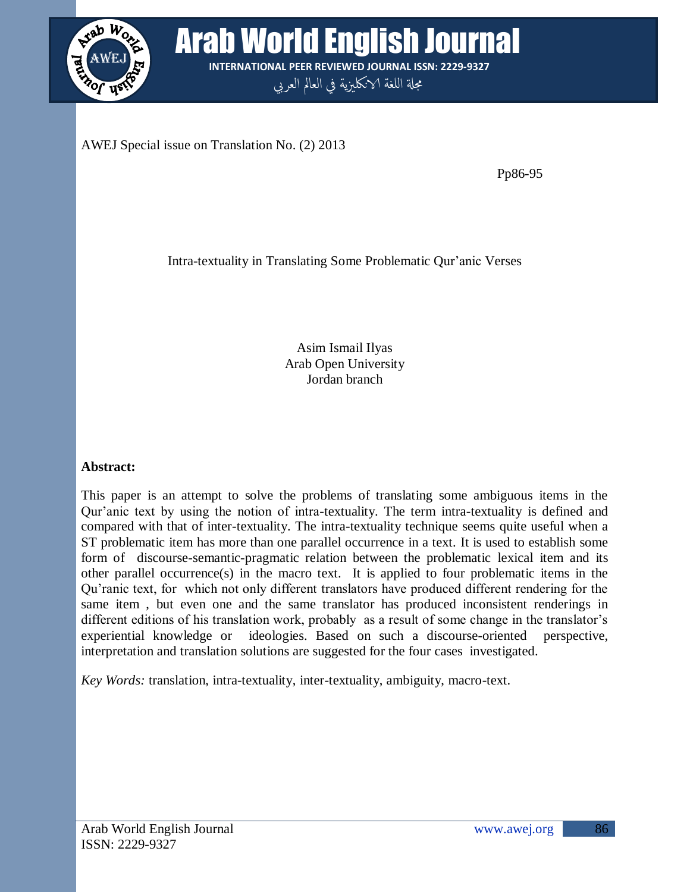

**Arab World English Journal INTERNATIONAL PEER REVIEWED JOURNAL ISSN: 2229-9327**

مجلة اللغة الانكليزية في العالم العربي

AWEJ Special issue on Translation No. (2) 2013

Pp86-95

Intra-textuality in Translating Some Problematic Qur"anic Verses

Asim Ismail Ilyas Arab Open University Jordan branch

# **Abstract:**

This paper is an attempt to solve the problems of translating some ambiguous items in the Qur"anic text by using the notion of intra-textuality. The term intra-textuality is defined and compared with that of inter-textuality. The intra-textuality technique seems quite useful when a ST problematic item has more than one parallel occurrence in a text. It is used to establish some form of discourse-semantic-pragmatic relation between the problematic lexical item and its other parallel occurrence(s) in the macro text. It is applied to four problematic items in the Qu"ranic text, for which not only different translators have produced different rendering for the same item , but even one and the same translator has produced inconsistent renderings in different editions of his translation work, probably as a result of some change in the translator's experiential knowledge or ideologies. Based on such a discourse-oriented perspective, interpretation and translation solutions are suggested for the four cases investigated.

*Key Words:* translation, intra-textuality, inter-textuality, ambiguity, macro-text.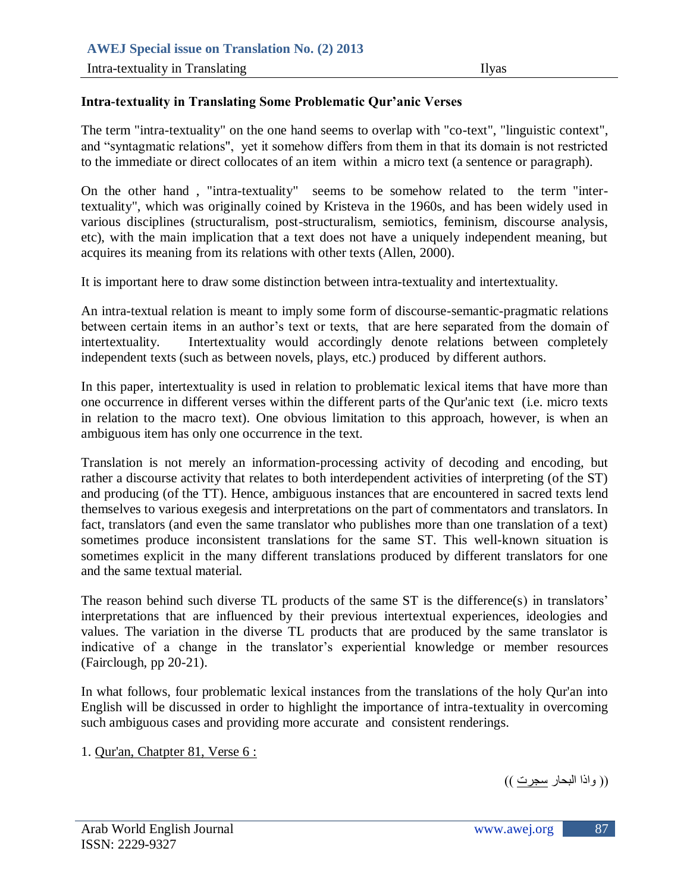#### **Intra-textuality in Translating Some Problematic Qur'anic Verses**

The term "intra-textuality" on the one hand seems to overlap with "co-text", "linguistic context", and "syntagmatic relations", yet it somehow differs from them in that its domain is not restricted to the immediate or direct collocates of an item within a micro text (a sentence or paragraph).

On the other hand , "intra-textuality" seems to be somehow related to the term "intertextuality", which was originally coined by Kristeva in the 1960s, and has been widely used in various disciplines (structuralism, post-structuralism, semiotics, feminism, discourse analysis, etc), with the main implication that a text does not have a uniquely independent meaning, but acquires its meaning from its relations with other texts (Allen, 2000).

It is important here to draw some distinction between intra-textuality and intertextuality.

An intra-textual relation is meant to imply some form of discourse-semantic-pragmatic relations between certain items in an author's text or texts, that are here separated from the domain of intertextuality. Intertextuality would accordingly denote relations between completely independent texts (such as between novels, plays, etc.) produced by different authors.

In this paper, intertextuality is used in relation to problematic lexical items that have more than one occurrence in different verses within the different parts of the Qur'anic text (i.e. micro texts in relation to the macro text). One obvious limitation to this approach, however, is when an ambiguous item has only one occurrence in the text.

Translation is not merely an information-processing activity of decoding and encoding, but rather a discourse activity that relates to both interdependent activities of interpreting (of the ST) and producing (of the TT). Hence, ambiguous instances that are encountered in sacred texts lend themselves to various exegesis and interpretations on the part of commentators and translators. In fact, translators (and even the same translator who publishes more than one translation of a text) sometimes produce inconsistent translations for the same ST. This well-known situation is sometimes explicit in the many different translations produced by different translators for one and the same textual material.

The reason behind such diverse TL products of the same ST is the difference(s) in translators' interpretations that are influenced by their previous intertextual experiences, ideologies and values. The variation in the diverse TL products that are produced by the same translator is indicative of a change in the translator's experiential knowledge or member resources (Fairclough, pp 20-21).

In what follows, four problematic lexical instances from the translations of the holy Qur'an into English will be discussed in order to highlight the importance of intra-textuality in overcoming such ambiguous cases and providing more accurate and consistent renderings.

1. Qur'an, Chatpter 81, Verse 6 :

)) واذا انبحاز سجست ((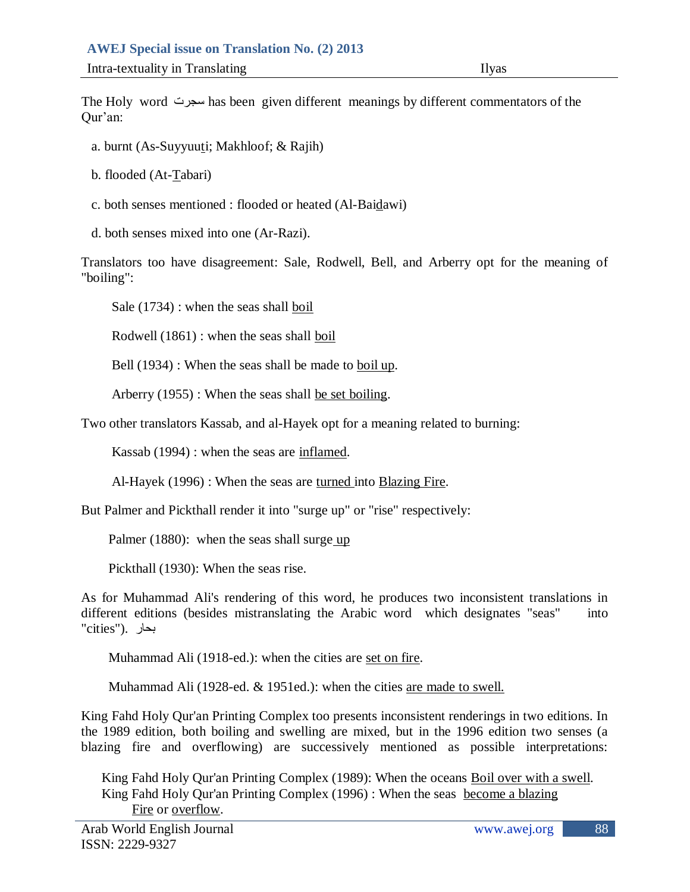The Holy word سجست has been given different meanings by different commentators of the Qur"an:

- a. burnt (As-Suyyuuti; Makhloof; & Rajih)
- b. flooded (At-Tabari)
- c. both senses mentioned : flooded or heated (Al-Baidawi)
- d. both senses mixed into one (Ar-Razi).

Translators too have disagreement: Sale, Rodwell, Bell, and Arberry opt for the meaning of "boiling":

Sale (1734) : when the seas shall boil

Rodwell (1861) : when the seas shall boil

Bell (1934) : When the seas shall be made to boil up.

Arberry (1955) : When the seas shall be set boiling.

Two other translators Kassab, and al-Hayek opt for a meaning related to burning:

Kassab (1994) : when the seas are inflamed.

Al-Hayek (1996) : When the seas are turned into Blazing Fire.

But Palmer and Pickthall render it into "surge up" or "rise" respectively:

Palmer (1880): when the seas shall surge up

Pickthall (1930): When the seas rise.

As for Muhammad Ali's rendering of this word, he produces two inconsistent translations in different editions (besides mistranslating the Arabic word which designates "seas" into بحاز .("cities"

Muhammad Ali (1918-ed.): when the cities are set on fire.

Muhammad Ali (1928-ed. & 1951ed.): when the cities are made to swell.

King Fahd Holy Qur'an Printing Complex too presents inconsistent renderings in two editions. In the 1989 edition, both boiling and swelling are mixed, but in the 1996 edition two senses (a blazing fire and overflowing) are successively mentioned as possible interpretations:

 King Fahd Holy Qur'an Printing Complex (1989): When the oceans Boil over with a swell. King Fahd Holy Qur'an Printing Complex (1996) : When the seas become a blazing Fire or overflow.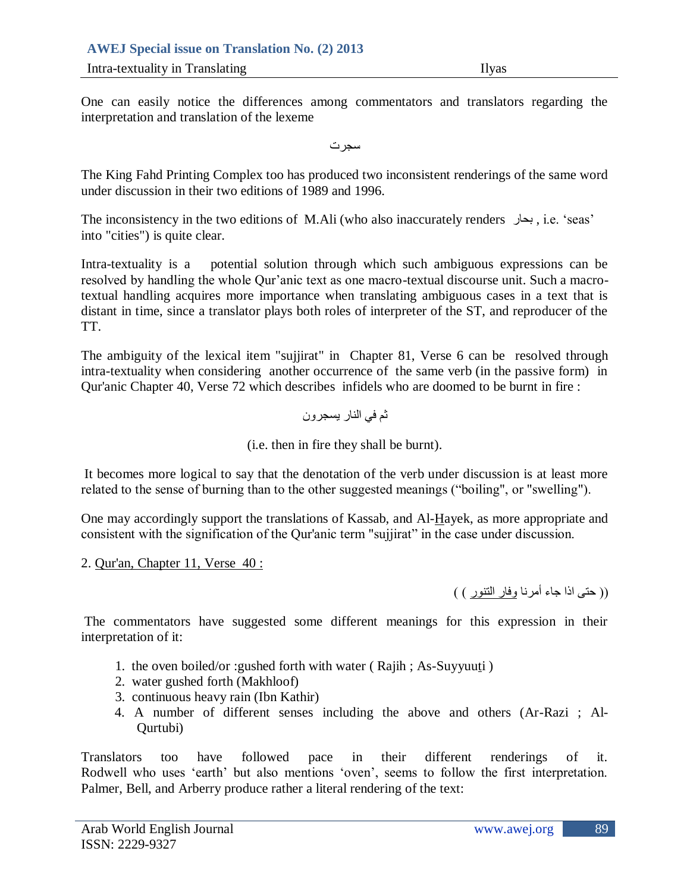# **AWEJ Special issue on Translation No. (2) 2013**

**Intra-textuality in Translating Ilyas** 

One can easily notice the differences among commentators and translators regarding the interpretation and translation of the lexeme

سجست

The King Fahd Printing Complex too has produced two inconsistent renderings of the same word under discussion in their two editions of 1989 and 1996.

The inconsistency in the two editions of M.Ali (who also inaccurately renders بحاز , i.e. "seas" into "cities") is quite clear.

Intra-textuality is a potential solution through which such ambiguous expressions can be resolved by handling the whole Qur'anic text as one macro-textual discourse unit. Such a macrotextual handling acquires more importance when translating ambiguous cases in a text that is distant in time, since a translator plays both roles of interpreter of the ST, and reproducer of the TT.

The ambiguity of the lexical item "sujjirat" in Chapter 81, Verse 6 can be resolved through intra-textuality when considering another occurrence of the same verb (in the passive form) in Qur'anic Chapter 40, Verse 72 which describes infidels who are doomed to be burnt in fire :

ثم في النار يسجرون

(i.e. then in fire they shall be burnt).

It becomes more logical to say that the denotation of the verb under discussion is at least more related to the sense of burning than to the other suggested meanings ("boiling", or "swelling").

One may accordingly support the translations of Kassab, and Al-Hayek, as more appropriate and consistent with the signification of the Qur'anic term "sujjirat" in the case under discussion.

2. Qur'an, Chapter 11, Verse 40 :

(( حتى اذا جاء أمرنا وفار النتور ) )

The commentators have suggested some different meanings for this expression in their interpretation of it:

- 1. the oven boiled/or :gushed forth with water ( Rajih ; As-Suyyuuti )
- 2. water gushed forth (Makhloof)
- 3. continuous heavy rain (Ibn Kathir)
- 4. A number of different senses including the above and others (Ar-Razi ; Al-Qurtubi)

Translators too have followed pace in their different renderings of it. Rodwell who uses 'earth' but also mentions 'oven', seems to follow the first interpretation. Palmer, Bell, and Arberry produce rather a literal rendering of the text: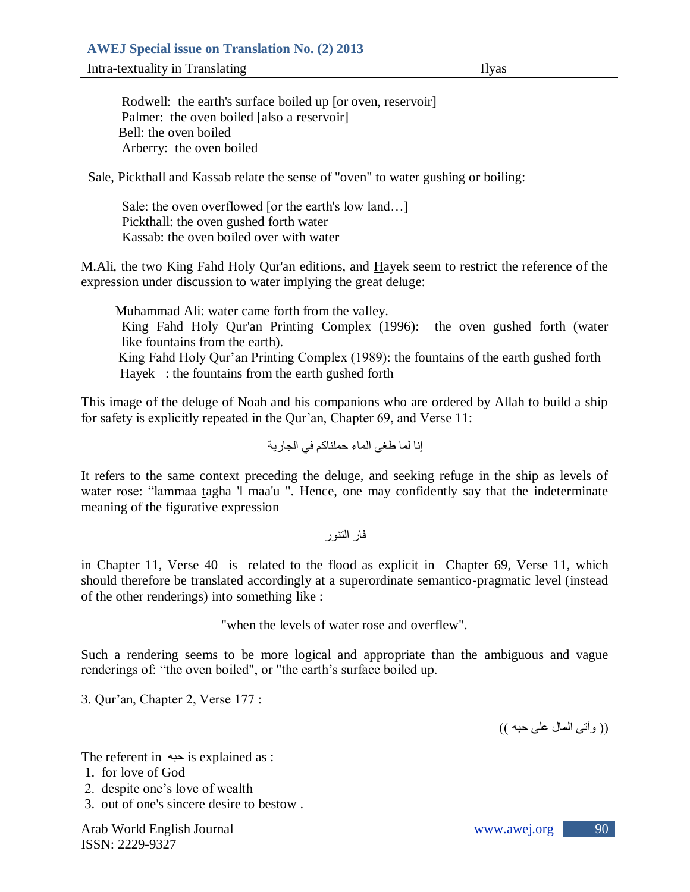**Intra-textuality in Translating Ilyas** 

Rodwell: the earth's surface boiled up [or oven, reservoir] Palmer: the oven boiled [also a reservoir] Bell: the oven boiled Arberry: the oven boiled

Sale, Pickthall and Kassab relate the sense of "oven" to water gushing or boiling:

 Sale: the oven overflowed [or the earth's low land…] Pickthall: the oven gushed forth water Kassab: the oven boiled over with water

M.Ali, the two King Fahd Holy Qur'an editions, and Hayek seem to restrict the reference of the expression under discussion to water implying the great deluge:

 Muhammad Ali: water came forth from the valley. King Fahd Holy Qur'an Printing Complex (1996): the oven gushed forth (water like fountains from the earth). King Fahd Holy Qur'an Printing Complex (1989): the fountains of the earth gushed forth Hayek : the fountains from the earth gushed forth

This image of the deluge of Noah and his companions who are ordered by Allah to build a ship for safety is explicitly repeated in the Qur'an, Chapter 69, and Verse 11:

ٳوا نما طغى انماء حمهىاكم في انجازية

It refers to the same context preceding the deluge, and seeking refuge in the ship as levels of water rose: "lammaa tagha 'l maa'u ". Hence, one may confidently say that the indeterminate meaning of the figurative expression

فاز انتىىز

in Chapter 11, Verse 40 is related to the flood as explicit in Chapter 69, Verse 11, which should therefore be translated accordingly at a superordinate semantico-pragmatic level (instead of the other renderings) into something like :

"when the levels of water rose and overflew".

Such a rendering seems to be more logical and appropriate than the ambiguous and vague renderings of: "the oven boiled", or "the earth's surface boiled up.

3. Qur"an, Chapter 2, Verse 177 :

)) وآتى انمال عهى حبه ((

The referent in  $\leftrightarrow$  is explained as :

- 1. for love of God
- 2. despite one"s love of wealth
- 3. out of one's sincere desire to bestow .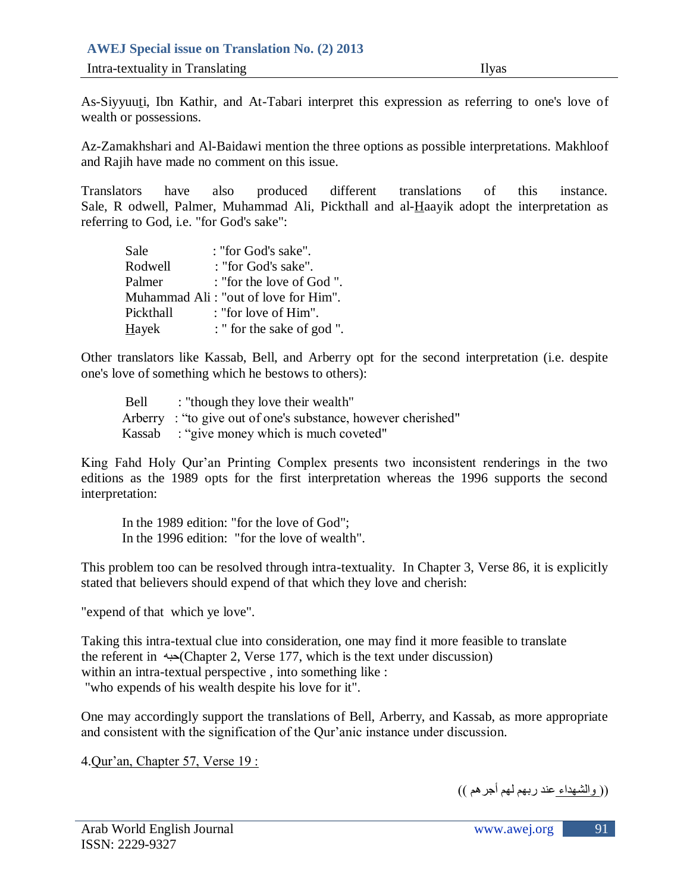### **AWEJ Special issue on Translation No. (2) 2013**

**Intra-textuality in Translating Ilyas** 

As-Siyyuuti, Ibn Kathir, and At-Tabari interpret this expression as referring to one's love of wealth or possessions.

Az-Zamakhshari and Al-Baidawi mention the three options as possible interpretations. Makhloof and Rajih have made no comment on this issue.

Translators have also produced different translations of this instance. Sale, R odwell, Palmer, Muhammad Ali, Pickthall and al-Haayik adopt the interpretation as referring to God, i.e. "for God's sake":

| Sale         | : "for God's sake".                  |
|--------------|--------------------------------------|
| Rodwell      | : "for God's sake".                  |
| Palmer       | : "for the love of God".             |
|              | Muhammad Ali: "out of love for Him". |
| Pickthall    | : "for love of $\text{Him}$ ".       |
| <b>Hayek</b> | : " for the sake of god ".           |

Other translators like Kassab, Bell, and Arberry opt for the second interpretation (i.e. despite one's love of something which he bestows to others):

| Bell | : "though they love their wealth"                            |
|------|--------------------------------------------------------------|
|      | Arberry: "to give out of one's substance, however cherished" |
|      | Kassab : "give money which is much coveted"                  |

King Fahd Holy Qur"an Printing Complex presents two inconsistent renderings in the two editions as the 1989 opts for the first interpretation whereas the 1996 supports the second interpretation:

 In the 1989 edition: "for the love of God"; In the 1996 edition: "for the love of wealth".

This problem too can be resolved through intra-textuality. In Chapter 3, Verse 86, it is explicitly stated that believers should expend of that which they love and cherish:

"expend of that which ye love".

Taking this intra-textual clue into consideration, one may find it more feasible to translate the referent in حبه)Chapter 2, Verse 177, which is the text under discussion) within an intra-textual perspective , into something like : "who expends of his wealth despite his love for it".

One may accordingly support the translations of Bell, Arberry, and Kassab, as more appropriate and consistent with the signification of the Qur"anic instance under discussion.

4.Qur"an, Chapter 57, Verse 19 :

)) وانشهداء عىد زبهم نهم أجسهم ((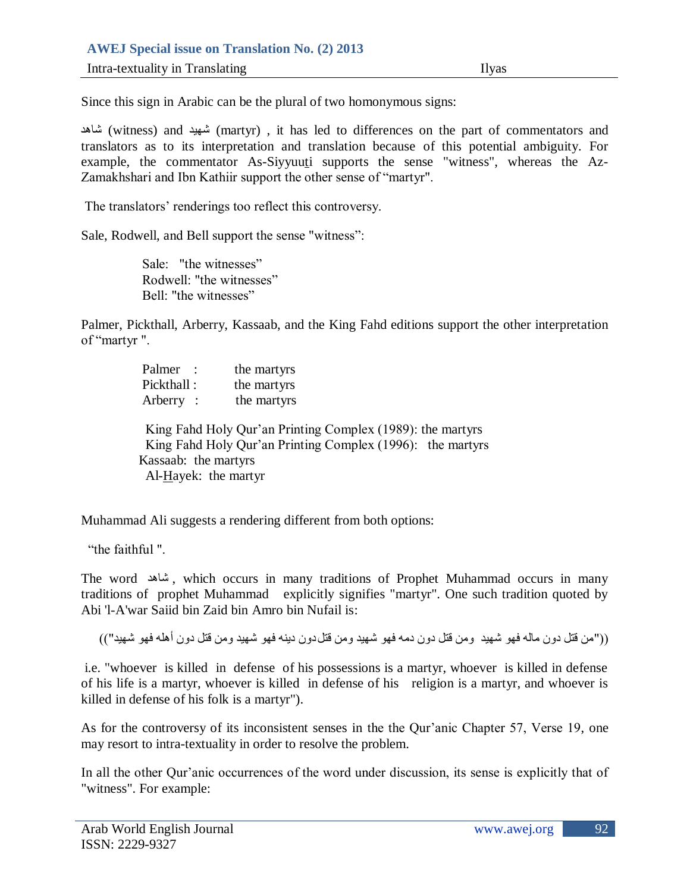Since this sign in Arabic can be the plural of two homonymous signs:

شاهد) witness) and شهيد) martyr) , it has led to differences on the part of commentators and translators as to its interpretation and translation because of this potential ambiguity. For example, the commentator As-Siyyuuti supports the sense "witness", whereas the Az-Zamakhshari and Ibn Kathiir support the other sense of "martyr".

The translators' renderings too reflect this controversy.

Sale, Rodwell, and Bell support the sense "witness":

 Sale: "the witnesses" Rodwell: "the witnesses" Bell: "the witnesses"

Palmer, Pickthall, Arberry, Kassaab, and the King Fahd editions support the other interpretation of "martyr ".

| Palmer :                                       | the martyrs                                                                                                              |
|------------------------------------------------|--------------------------------------------------------------------------------------------------------------------------|
| Pickthall:                                     | the martyrs                                                                                                              |
| Arberry:                                       | the martyrs                                                                                                              |
| Kassaab: the martyrs<br>$Al-Hayek:$ the martyr | King Fahd Holy Qur'an Printing Complex (1989): the martyrs<br>King Fahd Holy Qur'an Printing Complex (1996): the martyrs |

Muhammad Ali suggests a rendering different from both options:

"the faithful ".

The word شاهد , which occurs in many traditions of Prophet Muhammad occurs in many traditions of prophet Muhammad explicitly signifies "martyr". One such tradition quoted by Abi 'l-A'war Saiid bin Zaid bin Amro bin Nufail is:

(("من قتل دون ماله فهو شهيد ومن قتل دون دمه فهو شهيد ومن قتل دون دينه فهو شهيد ومن قتل دون أهله فهو شهيد"))

i.e. "whoever is killed in defense of his possessions is a martyr, whoever is killed in defense of his life is a martyr, whoever is killed in defense of his religion is a martyr, and whoever is killed in defense of his folk is a martyr").

As for the controversy of its inconsistent senses in the the Qur"anic Chapter 57, Verse 19, one may resort to intra-textuality in order to resolve the problem.

In all the other Qur"anic occurrences of the word under discussion, its sense is explicitly that of "witness". For example: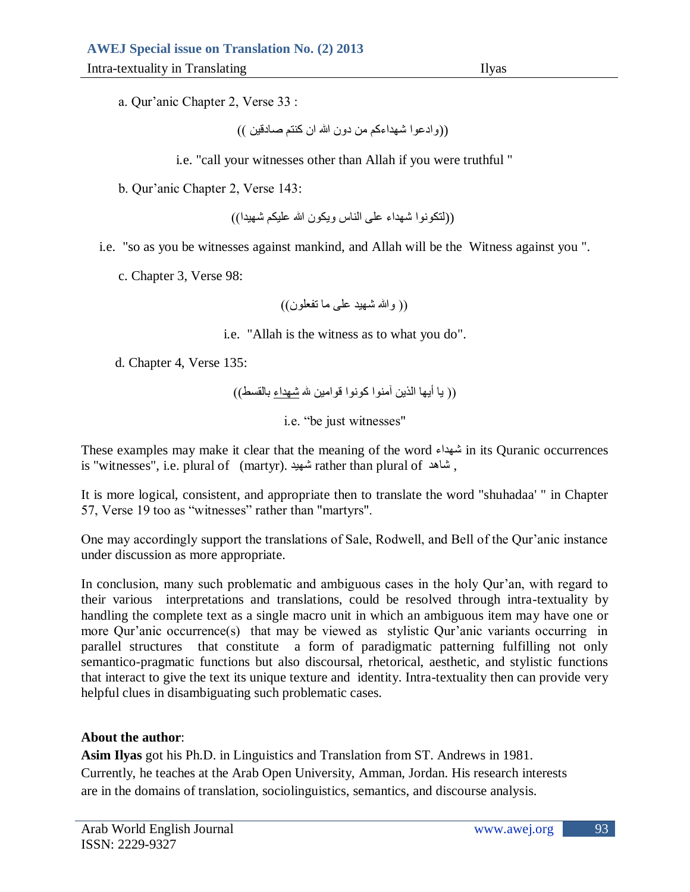a. Qur"anic Chapter 2, Verse 33 :

((وادعوا شهداءكم من دون الله ان كنتم صادقين ))

i.e. "call your witnesses other than Allah if you were truthful "

b. Qur"anic Chapter 2, Verse 143:

((لتكونوا شهداء على الناس ويكون الله عليكم شهيدا))

i.e. "so as you be witnesses against mankind, and Allah will be the Witness against you ".

c. Chapter 3, Verse 98:

)) وهللا شهيد عهى ما تفعهىن((

i.e. "Allah is the witness as to what you do".

d. Chapter 4, Verse 135:

```
(( يا أيها الذين آمنوا كونوا قوامين لله شهداء بالقسط))
```
i.e. "be just witnesses"

These examples may make it clear that the meaning of the word شهداء in its Quranic occurrences is "witnesses", i.e. plural of (martyr). شهيد rather than plural of شاهد ,

It is more logical, consistent, and appropriate then to translate the word "shuhadaa' " in Chapter 57, Verse 19 too as "witnesses" rather than "martyrs".

One may accordingly support the translations of Sale, Rodwell, and Bell of the Qur"anic instance under discussion as more appropriate.

In conclusion, many such problematic and ambiguous cases in the holy Qur"an, with regard to their various interpretations and translations, could be resolved through intra-textuality by handling the complete text as a single macro unit in which an ambiguous item may have one or more Qur'anic occurrence(s) that may be viewed as stylistic Qur'anic variants occurring in parallel structures that constitute a form of paradigmatic patterning fulfilling not only semantico-pragmatic functions but also discoursal, rhetorical, aesthetic, and stylistic functions that interact to give the text its unique texture and identity. Intra-textuality then can provide very helpful clues in disambiguating such problematic cases.

# **About the author**:

**Asim Ilyas** got his Ph.D. in Linguistics and Translation from ST. Andrews in 1981. Currently, he teaches at the Arab Open University, Amman, Jordan. His research interests are in the domains of translation, sociolinguistics, semantics, and discourse analysis.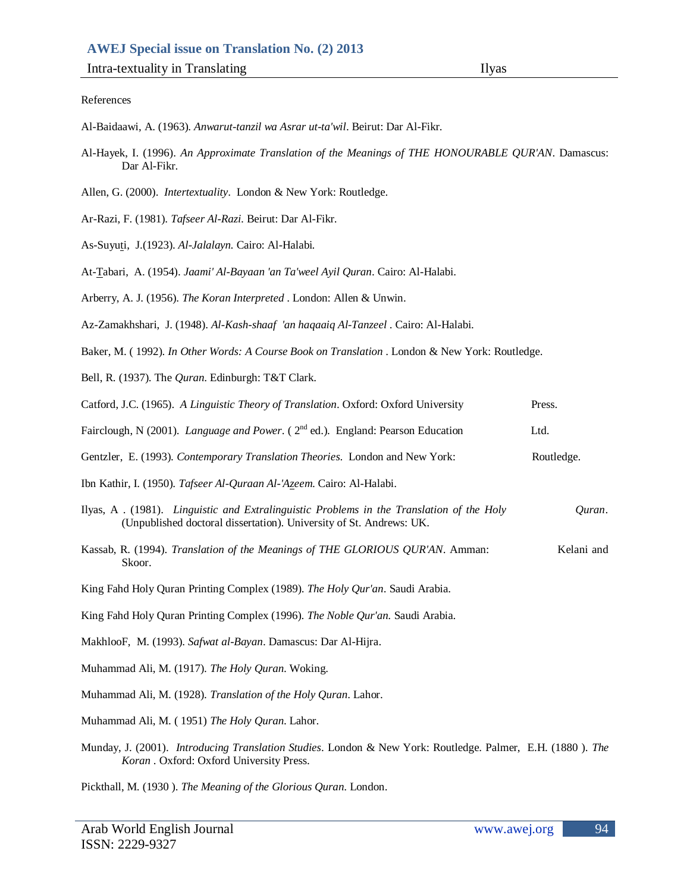#### References

- Al-Baidaawi, A. (1963). *Anwarut-tanzil wa Asrar ut-ta'wil*. Beirut: Dar Al-Fikr.
- Al-Hayek, I. (1996). *An Approximate Translation of the Meanings of THE HONOURABLE QUR'AN*. Damascus: Dar Al-Fikr.
- Allen, G. (2000). *Intertextuality*. London & New York: Routledge.
- Ar-Razi, F. (1981). *Tafseer Al-Razi.* Beirut: Dar Al-Fikr.
- As-Suyuti, J.(1923). *Al-Jalalayn.* Cairo: Al-Halabi*.*
- At-Tabari, A. (1954). *Jaami' Al-Bayaan 'an Ta'weel Ayil Quran*. Cairo: Al-Halabi.
- Arberry, A. J. (1956). *The Koran Interpreted* . London: Allen & Unwin.
- Az-Zamakhshari, J. (1948). *Al-Kash-shaaf 'an haqaaiq Al-Tanzeel* . Cairo: Al-Halabi.
- Baker, M. ( 1992). *In Other Words: A Course Book on Translation* . London & New York: Routledge.
- Bell, R. (1937). The *Quran*. Edinburgh: T&T Clark.

| Catford, J.C. (1965). A Linguistic Theory of Translation. Oxford: Oxford University                                                                             | Press.     |
|-----------------------------------------------------------------------------------------------------------------------------------------------------------------|------------|
| Fairclough, N (2001). Language and Power. (2 <sup>nd</sup> ed.). England: Pearson Education                                                                     | Ltd.       |
| Gentzler, E. (1993). Contemporary Translation Theories. London and New York:                                                                                    | Routledge. |
| Ibn Kathir, I. (1950). Tafseer Al-Quraan Al-'Azeem. Cairo: Al-Halabi.                                                                                           |            |
| Ilyas, A. (1981). Linguistic and Extralinguistic Problems in the Translation of the Holy<br>(Unpublished doctoral dissertation). University of St. Andrews: UK. | Quran.     |
| Kassab, R. (1994). Translation of the Meanings of THE GLORIOUS QUR'AN. Amman:<br>Skoor.                                                                         | Kelani and |
| King Fahd Holy Quran Printing Complex (1989). The Holy Qur'an. Saudi Arabia.                                                                                    |            |
| King Fahd Holy Quran Printing Complex (1996). The Noble Qur'an. Saudi Arabia.                                                                                   |            |
| MakhlooF, M. (1993). Safwat al-Bayan. Damascus: Dar Al-Hijra.                                                                                                   |            |
| Muhammad Ali, M. (1917). The Holy Quran. Woking.                                                                                                                |            |
| Muhammad Ali, M. (1928). Translation of the Holy Quran. Lahor.                                                                                                  |            |
| Muhammad Ali, M. (1951) The Holy Quran. Lahor.                                                                                                                  |            |

Munday, J. (2001). *Introducing Translation Studies*. London & New York: Routledge. Palmer, E.H. (1880 ). *The Koran* . Oxford: Oxford University Press.

Pickthall, M. (1930 ). *The Meaning of the Glorious Quran*. London.